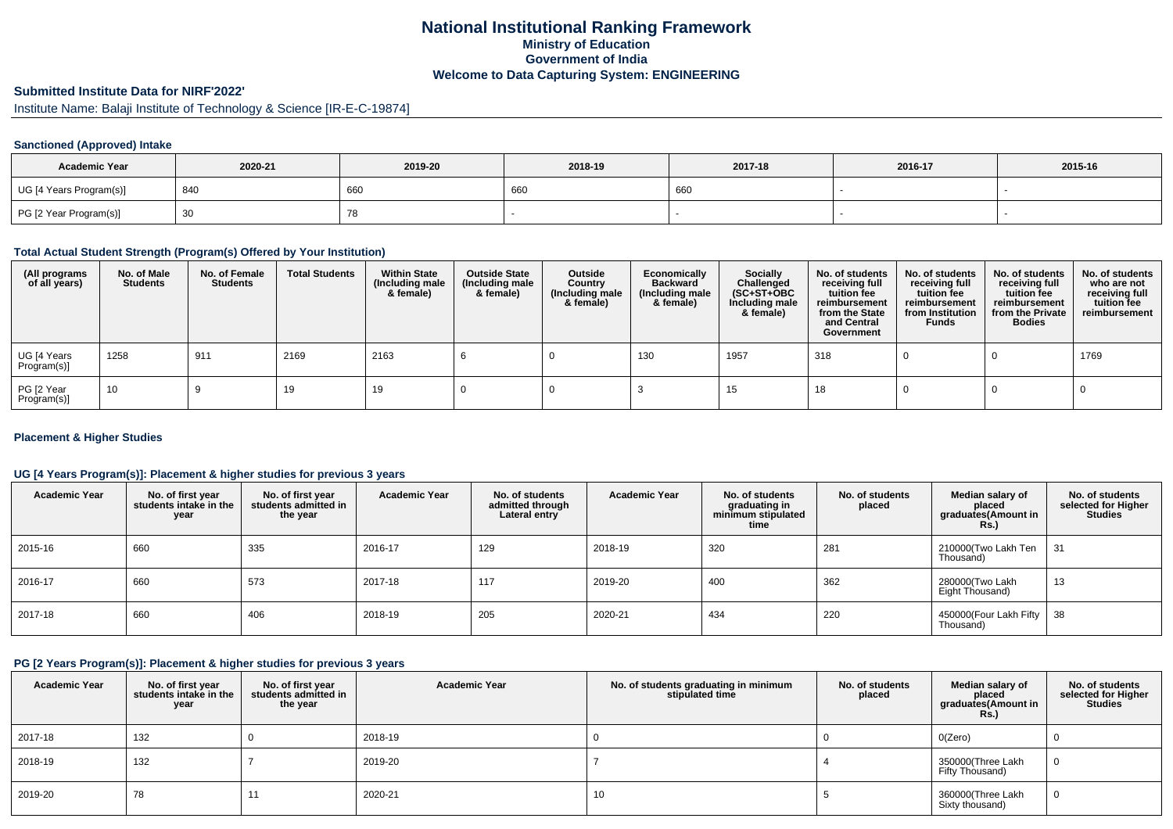### **National Institutional Ranking FrameworkMinistry of Education Government of IndiaWelcome to Data Capturing System: ENGINEERING**

# **Submitted Institute Data for NIRF'2022'**

Institute Name: Balaji Institute of Technology & Science [IR-E-C-19874]

### **Sanctioned (Approved) Intake**

| <b>Academic Year</b>    | 2020-21 | 2019-20 | 2018-19 | 2017-18 | 2016-17 | 2015-16 |
|-------------------------|---------|---------|---------|---------|---------|---------|
| UG [4 Years Program(s)] | 840     | 660     | 660     | 660     |         |         |
| PG [2 Year Program(s)]  | ັບບ     | 78      |         |         |         |         |

#### **Total Actual Student Strength (Program(s) Offered by Your Institution)**

| (All programs<br>of all years) | No. of Male<br><b>Students</b> | No. of Female<br><b>Students</b> | <b>Total Students</b> | <b>Within State</b><br>(Including male<br>& female) | <b>Outside State</b><br>(Including male<br>& female) | Outside<br>Country<br>(Including male<br>& female) | Economically<br><b>Backward</b><br>(Including male<br>& female) | Socially<br>Challenged<br>$(SC+ST+OBC)$<br>Including male<br>& female) | No. of students<br>receiving full<br>tuition fee<br>reimbursement<br>from the State<br>and Central<br>Government | No. of students<br>receiving full<br>tuition fee<br>reimbursement<br>from Institution<br><b>Funds</b> | No. of students<br>receiving full<br>tuition fee<br>reimbursement<br>from the Private<br><b>Bodies</b> | No. of students<br>who are not<br>receiving full<br>tuition fee<br>reimbursement |
|--------------------------------|--------------------------------|----------------------------------|-----------------------|-----------------------------------------------------|------------------------------------------------------|----------------------------------------------------|-----------------------------------------------------------------|------------------------------------------------------------------------|------------------------------------------------------------------------------------------------------------------|-------------------------------------------------------------------------------------------------------|--------------------------------------------------------------------------------------------------------|----------------------------------------------------------------------------------|
| UG [4 Years<br>Program(s)]     | 1258                           | 911                              | 2169                  | 2163                                                |                                                      |                                                    | 130                                                             | 1957                                                                   | 318                                                                                                              |                                                                                                       |                                                                                                        | 1769                                                                             |
| PG [2 Year<br>Program(s)]      | 10                             |                                  | 19                    | 19                                                  |                                                      |                                                    |                                                                 | 15                                                                     | 18                                                                                                               |                                                                                                       |                                                                                                        |                                                                                  |

#### **Placement & Higher Studies**

### **UG [4 Years Program(s)]: Placement & higher studies for previous 3 years**

| <b>Academic Year</b> | No. of first year<br>students intake in the<br>year | No. of first year<br>students admitted in<br>the year | <b>Academic Year</b> | No. of students<br>admitted through<br>Lateral entry | <b>Academic Year</b> | No. of students<br>graduating in<br>minimum stipulated<br>time | No. of students<br>placed | Median salary of<br>placed<br>graduates(Amount in<br>Rs.) | No. of students<br>selected for Higher<br><b>Studies</b> |
|----------------------|-----------------------------------------------------|-------------------------------------------------------|----------------------|------------------------------------------------------|----------------------|----------------------------------------------------------------|---------------------------|-----------------------------------------------------------|----------------------------------------------------------|
| 2015-16              | 660                                                 | 335                                                   | 2016-17              | 129                                                  | 2018-19              | 320                                                            | 281                       | 210000(Two Lakh Ten<br>Thousand)                          | -31                                                      |
| 2016-17              | 660                                                 | 573                                                   | 2017-18              | 117                                                  | 2019-20              | 400                                                            | 362                       | 280000(Two Lakh<br>Eight Thousand)                        | 13                                                       |
| 2017-18              | 660                                                 | 406                                                   | 2018-19              | 205                                                  | 2020-21              | 434                                                            | 220                       | 450000(Four Lakh Fifty  <br>Thousand)                     | , 38                                                     |

#### **PG [2 Years Program(s)]: Placement & higher studies for previous 3 years**

| <b>Academic Year</b> | No. of first year<br>students intake in the<br>year | No. of first year<br>students admitted in<br>the year | <b>Academic Year</b> | No. of students graduating in minimum<br>stipulated time | No. of students<br>placed | Median salary of<br>placed<br>graduates(Amount in<br><b>Rs.)</b> | No. of students<br>selected for Higher<br><b>Studies</b> |
|----------------------|-----------------------------------------------------|-------------------------------------------------------|----------------------|----------------------------------------------------------|---------------------------|------------------------------------------------------------------|----------------------------------------------------------|
| 2017-18              | 132                                                 |                                                       | 2018-19              |                                                          |                           | O(Zero)                                                          |                                                          |
| 2018-19              | 132                                                 |                                                       | 2019-20              |                                                          |                           | 350000(Three Lakh<br>Fifty Thousand)                             |                                                          |
| 2019-20              | 78                                                  |                                                       | 2020-21              | 10                                                       |                           | 360000(Three Lakh<br>Sixty thousand)                             |                                                          |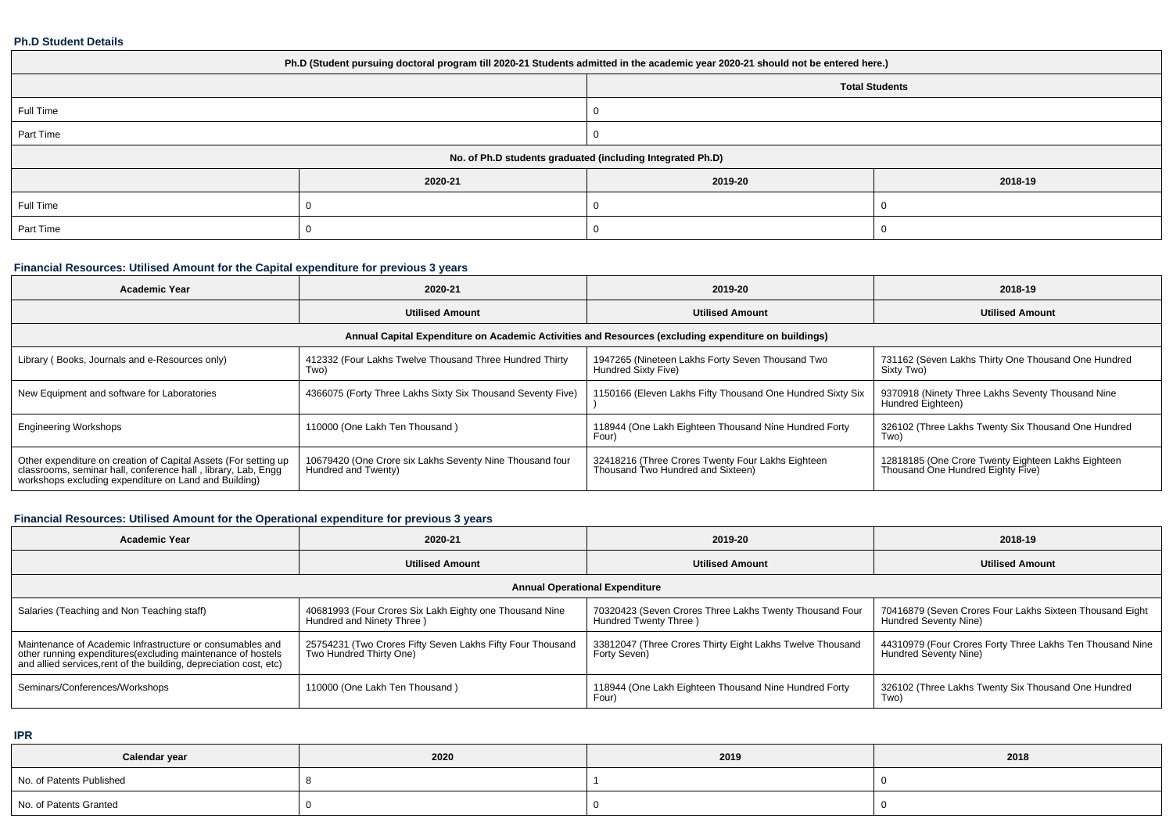#### **Ph.D Student Details**

| Ph.D (Student pursuing doctoral program till 2020-21 Students admitted in the academic year 2020-21 should not be entered here.) |         |         |         |  |  |  |  |
|----------------------------------------------------------------------------------------------------------------------------------|---------|---------|---------|--|--|--|--|
| <b>Total Students</b>                                                                                                            |         |         |         |  |  |  |  |
| Full Time                                                                                                                        |         |         |         |  |  |  |  |
| Part Time                                                                                                                        |         |         |         |  |  |  |  |
| No. of Ph.D students graduated (including Integrated Ph.D)                                                                       |         |         |         |  |  |  |  |
|                                                                                                                                  | 2020-21 | 2019-20 | 2018-19 |  |  |  |  |
| Full Time                                                                                                                        |         |         |         |  |  |  |  |
| Part Time                                                                                                                        |         |         |         |  |  |  |  |

# **Financial Resources: Utilised Amount for the Capital expenditure for previous 3 years**

| <b>Academic Year</b>                                                                                                                                                                      | 2020-21                                                                         | 2019-20                                                                                | 2018-19                                                                                 |  |  |  |  |  |
|-------------------------------------------------------------------------------------------------------------------------------------------------------------------------------------------|---------------------------------------------------------------------------------|----------------------------------------------------------------------------------------|-----------------------------------------------------------------------------------------|--|--|--|--|--|
|                                                                                                                                                                                           | <b>Utilised Amount</b>                                                          | <b>Utilised Amount</b>                                                                 | <b>Utilised Amount</b>                                                                  |  |  |  |  |  |
| Annual Capital Expenditure on Academic Activities and Resources (excluding expenditure on buildings)                                                                                      |                                                                                 |                                                                                        |                                                                                         |  |  |  |  |  |
| Library (Books, Journals and e-Resources only)                                                                                                                                            | 412332 (Four Lakhs Twelve Thousand Three Hundred Thirty<br>Two)                 | 1947265 (Nineteen Lakhs Forty Seven Thousand Two<br>Hundred Sixty Five)                | 731162 (Seven Lakhs Thirty One Thousand One Hundred<br>Sixty Two)                       |  |  |  |  |  |
| New Equipment and software for Laboratories                                                                                                                                               | 4366075 (Forty Three Lakhs Sixty Six Thousand Seventy Five)                     | 1150166 (Eleven Lakhs Fifty Thousand One Hundred Sixty Six                             | 9370918 (Ninety Three Lakhs Seventy Thousand Nine<br>Hundred Eighteen)                  |  |  |  |  |  |
| <b>Engineering Workshops</b>                                                                                                                                                              | 110000 (One Lakh Ten Thousand)                                                  | 118944 (One Lakh Eighteen Thousand Nine Hundred Forty<br>Four)                         | 326102 (Three Lakhs Twenty Six Thousand One Hundred<br>Two)                             |  |  |  |  |  |
| Other expenditure on creation of Capital Assets (For setting up<br>classrooms, seminar hall, conference hall, library, Lab, Engg<br>workshops excluding expenditure on Land and Building) | 10679420 (One Crore six Lakhs Seventy Nine Thousand four<br>Hundred and Twenty) | 32418216 (Three Crores Twenty Four Lakhs Eighteen<br>Thousand Two Hundred and Sixteen) | 12818185 (One Crore Twenty Eighteen Lakhs Eighteen<br>Thousand One Hundred Eighty Five) |  |  |  |  |  |

# **Financial Resources: Utilised Amount for the Operational expenditure for previous 3 years**

| Academic Year                                                                                                                                                                                   | 2020-21                                                                               | 2019-20                                                                          | 2018-19                                                                            |  |  |  |  |  |  |
|-------------------------------------------------------------------------------------------------------------------------------------------------------------------------------------------------|---------------------------------------------------------------------------------------|----------------------------------------------------------------------------------|------------------------------------------------------------------------------------|--|--|--|--|--|--|
|                                                                                                                                                                                                 | <b>Utilised Amount</b>                                                                | <b>Utilised Amount</b>                                                           | <b>Utilised Amount</b>                                                             |  |  |  |  |  |  |
| <b>Annual Operational Expenditure</b>                                                                                                                                                           |                                                                                       |                                                                                  |                                                                                    |  |  |  |  |  |  |
| Salaries (Teaching and Non Teaching staff)                                                                                                                                                      | 40681993 (Four Crores Six Lakh Eighty one Thousand Nine<br>Hundred and Ninety Three)  | 70320423 (Seven Crores Three Lakhs Twenty Thousand Four<br>Hundred Twenty Three) | 70416879 (Seven Crores Four Lakhs Sixteen Thousand Eight<br>Hundred Seventy Nine)  |  |  |  |  |  |  |
| Maintenance of Academic Infrastructure or consumables and<br>other running expenditures (excluding maintenance of hostels<br>and allied services, rent of the building, depreciation cost, etc) | 25754231 (Two Crores Fifty Seven Lakhs Fifty Four Thousand<br>Two Hundred Thirty One) | 33812047 (Three Crores Thirty Eight Lakhs Twelve Thousand<br>Forty Seven)        | 44310979 (Four Crores Forty Three Lakhs Ten Thousand Nine<br>Hundred Seventy Nine) |  |  |  |  |  |  |
| Seminars/Conferences/Workshops                                                                                                                                                                  | 110000 (One Lakh Ten Thousand)                                                        | 118944 (One Lakh Eighteen Thousand Nine Hundred Forty<br>Four'                   | 326102 (Three Lakhs Twenty Six Thousand One Hundred<br>Two)                        |  |  |  |  |  |  |

**IPR**

| Calendar year            | 2020 | 2019 | 2018 |
|--------------------------|------|------|------|
| No. of Patents Published |      |      |      |
| No. of Patents Granted   |      |      |      |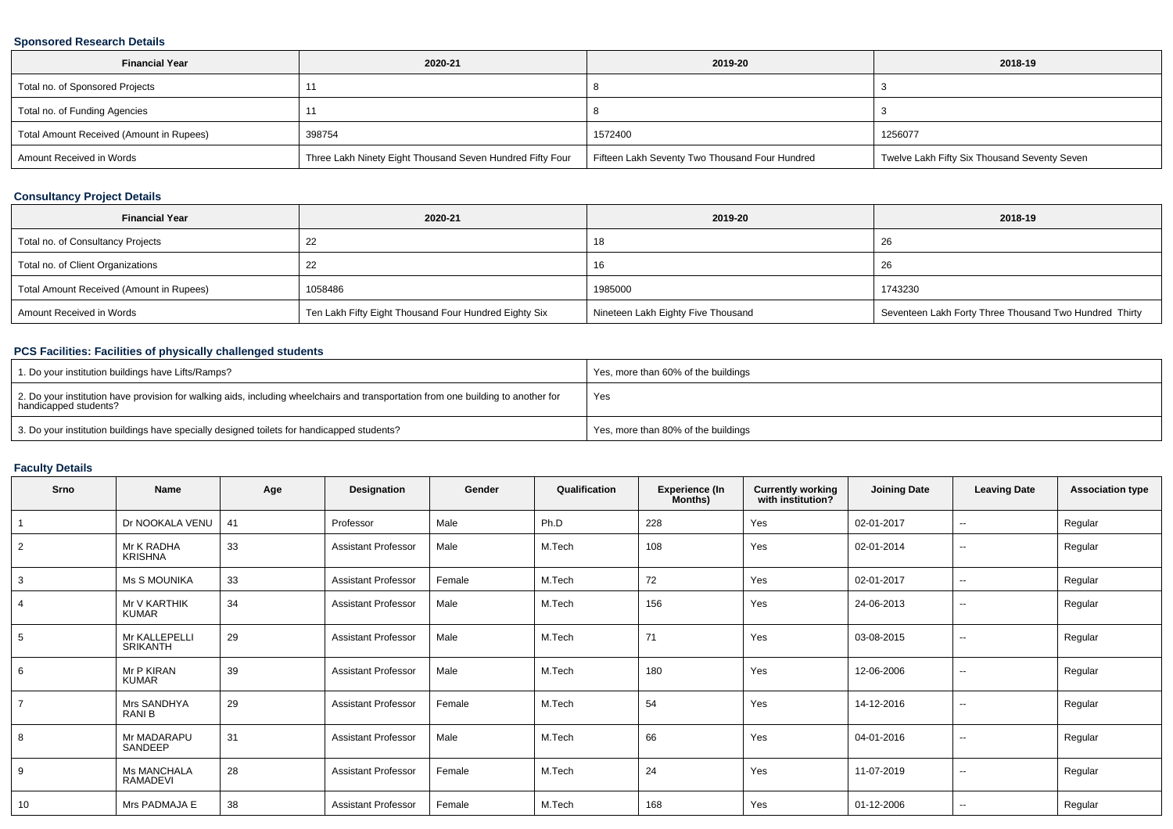### **Sponsored Research Details**

| <b>Financial Year</b>                    | 2020-21                                                   | 2019-20                                        | 2018-19                                      |
|------------------------------------------|-----------------------------------------------------------|------------------------------------------------|----------------------------------------------|
| Total no. of Sponsored Projects          |                                                           |                                                |                                              |
| Total no. of Funding Agencies            |                                                           |                                                |                                              |
| Total Amount Received (Amount in Rupees) | 398754                                                    | 1572400                                        | 1256077                                      |
| Amount Received in Words                 | Three Lakh Ninety Eight Thousand Seven Hundred Fifty Four | Fifteen Lakh Seventy Two Thousand Four Hundred | Twelve Lakh Fifty Six Thousand Seventy Seven |

### **Consultancy Project Details**

| <b>Financial Year</b>                    | 2020-21                                               | 2019-20                            | 2018-19                                                |
|------------------------------------------|-------------------------------------------------------|------------------------------------|--------------------------------------------------------|
| Total no. of Consultancy Projects        | 22                                                    | 18                                 | 26                                                     |
| Total no. of Client Organizations        | 22                                                    | 16                                 | 26                                                     |
| Total Amount Received (Amount in Rupees) | 1058486                                               | 1985000                            | 1743230                                                |
| Amount Received in Words                 | Ten Lakh Fifty Eight Thousand Four Hundred Eighty Six | Nineteen Lakh Eighty Five Thousand | Seventeen Lakh Forty Three Thousand Two Hundred Thirty |

### **PCS Facilities: Facilities of physically challenged students**

| 1. Do your institution buildings have Lifts/Ramps?                                                                                                         | Yes, more than 60% of the buildings |
|------------------------------------------------------------------------------------------------------------------------------------------------------------|-------------------------------------|
| 2. Do your institution have provision for walking aids, including wheelchairs and transportation from one building to another for<br>handicapped students? | Yes                                 |
| 3. Do your institution buildings have specially designed toilets for handicapped students?                                                                 | Yes, more than 80% of the buildings |

# **Faculty Details**

| Srno           | Name                             | Age | Designation                | Gender | Qualification | <b>Experience (In</b><br>Months) | <b>Currently working</b><br>with institution? | <b>Joining Date</b> | <b>Leaving Date</b>      | <b>Association type</b> |
|----------------|----------------------------------|-----|----------------------------|--------|---------------|----------------------------------|-----------------------------------------------|---------------------|--------------------------|-------------------------|
|                | Dr NOOKALA VENU                  | 41  | Professor                  | Male   | Ph.D          | 228                              | Yes                                           | 02-01-2017          | $\overline{\phantom{a}}$ | Regular                 |
| $\overline{2}$ | Mr K RADHA<br><b>KRISHNA</b>     | 33  | <b>Assistant Professor</b> | Male   | M.Tech        | 108                              | Yes                                           | 02-01-2014          | $\sim$                   | Regular                 |
| 3              | <b>Ms S MOUNIKA</b>              | 33  | <b>Assistant Professor</b> | Female | M.Tech        | 72                               | Yes                                           | 02-01-2017          | $\sim$                   | Regular                 |
| $\overline{4}$ | Mr V KARTHIK<br><b>KUMAR</b>     | 34  | <b>Assistant Professor</b> | Male   | M.Tech        | 156                              | Yes                                           | 24-06-2013          | $\sim$                   | Regular                 |
| 5              | Mr KALLEPELLI<br><b>SRIKANTH</b> | 29  | <b>Assistant Professor</b> | Male   | M.Tech        | 71                               | Yes                                           | 03-08-2015          | $\sim$                   | Regular                 |
| 6              | Mr P KIRAN<br><b>KUMAR</b>       | 39  | <b>Assistant Professor</b> | Male   | M.Tech        | 180                              | Yes                                           | 12-06-2006          | $\sim$                   | Regular                 |
| $\overline{7}$ | Mrs SANDHYA<br>RANI B            | 29  | <b>Assistant Professor</b> | Female | M.Tech        | 54                               | Yes                                           | 14-12-2016          | $\sim$                   | Regular                 |
| 8              | Mr MADARAPU<br>SANDEEP           | 31  | <b>Assistant Professor</b> | Male   | M.Tech        | 66                               | Yes                                           | 04-01-2016          | $\sim$                   | Regular                 |
| 9              | <b>Ms MANCHALA</b><br>RAMADEVI   | 28  | <b>Assistant Professor</b> | Female | M.Tech        | 24                               | Yes                                           | 11-07-2019          | $\sim$                   | Regular                 |
| 10             | Mrs PADMAJA E                    | 38  | <b>Assistant Professor</b> | Female | M.Tech        | 168                              | Yes                                           | 01-12-2006          | $\overline{\phantom{a}}$ | Regular                 |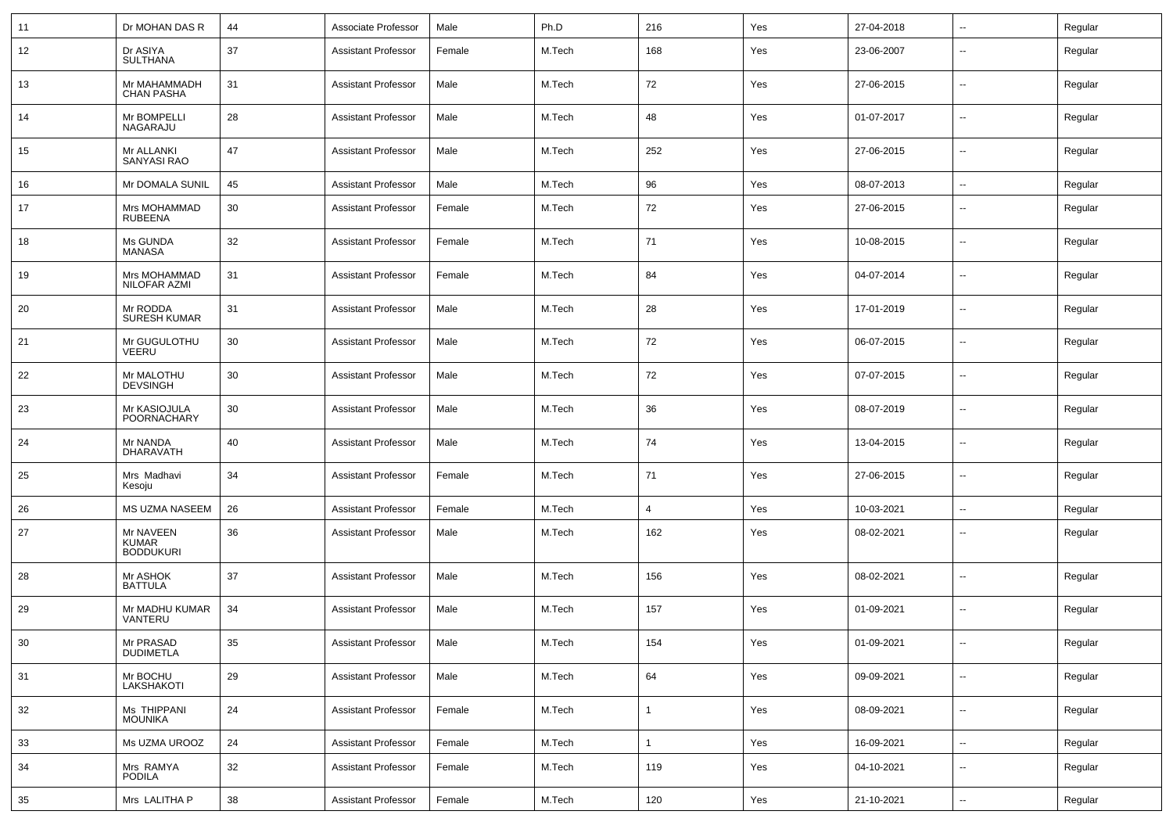| 11 | Dr MOHAN DAS R                                | 44 | Associate Professor        | Male   | Ph.D   | 216          | Yes | 27-04-2018 | ⊷.                       | Regular |
|----|-----------------------------------------------|----|----------------------------|--------|--------|--------------|-----|------------|--------------------------|---------|
| 12 | Dr ASIYA<br><b>SULTHANA</b>                   | 37 | <b>Assistant Professor</b> | Female | M.Tech | 168          | Yes | 23-06-2007 | --                       | Regular |
| 13 | Mr MAHAMMADH<br><b>CHAN PASHA</b>             | 31 | <b>Assistant Professor</b> | Male   | M.Tech | 72           | Yes | 27-06-2015 | $\overline{\phantom{a}}$ | Regular |
| 14 | Mr BOMPELLI<br>NAGARAJU                       | 28 | <b>Assistant Professor</b> | Male   | M.Tech | 48           | Yes | 01-07-2017 | --                       | Regular |
| 15 | Mr ALLANKI<br><b>SANYASI RAO</b>              | 47 | <b>Assistant Professor</b> | Male   | M.Tech | 252          | Yes | 27-06-2015 | $\overline{\phantom{a}}$ | Regular |
| 16 | Mr DOMALA SUNIL                               | 45 | <b>Assistant Professor</b> | Male   | M.Tech | 96           | Yes | 08-07-2013 | --                       | Regular |
| 17 | Mrs MOHAMMAD<br><b>RUBEENA</b>                | 30 | <b>Assistant Professor</b> | Female | M.Tech | 72           | Yes | 27-06-2015 | $\overline{\phantom{a}}$ | Regular |
| 18 | Ms GUNDA<br><b>MANASA</b>                     | 32 | <b>Assistant Professor</b> | Female | M.Tech | 71           | Yes | 10-08-2015 | $\overline{\phantom{a}}$ | Regular |
| 19 | Mrs MOHAMMAD<br>NILOFAR AZMI                  | 31 | <b>Assistant Professor</b> | Female | M.Tech | 84           | Yes | 04-07-2014 | $\overline{\phantom{a}}$ | Regular |
| 20 | Mr RODDA<br><b>SURESH KUMAR</b>               | 31 | <b>Assistant Professor</b> | Male   | M.Tech | 28           | Yes | 17-01-2019 | ⊷.                       | Regular |
| 21 | Mr GUGULOTHU<br><b>VEERU</b>                  | 30 | <b>Assistant Professor</b> | Male   | M.Tech | 72           | Yes | 06-07-2015 | $\overline{\phantom{a}}$ | Regular |
| 22 | Mr MALOTHU<br><b>DEVSINGH</b>                 | 30 | <b>Assistant Professor</b> | Male   | M.Tech | 72           | Yes | 07-07-2015 | $\overline{\phantom{a}}$ | Regular |
| 23 | Mr KASIOJULA<br>POORNACHARY                   | 30 | <b>Assistant Professor</b> | Male   | M.Tech | 36           | Yes | 08-07-2019 | $\overline{\phantom{a}}$ | Regular |
| 24 | Mr NANDA<br>DHARAVATH                         | 40 | <b>Assistant Professor</b> | Male   | M.Tech | 74           | Yes | 13-04-2015 | ⊷.                       | Regular |
| 25 | Mrs Madhavi<br>Kesoju                         | 34 | <b>Assistant Professor</b> | Female | M.Tech | 71           | Yes | 27-06-2015 | $\overline{\phantom{a}}$ | Regular |
| 26 | MS UZMA NASEEM                                | 26 | <b>Assistant Professor</b> | Female | M.Tech | 4            | Yes | 10-03-2021 | $\overline{\phantom{a}}$ | Regular |
| 27 | Mr NAVEEN<br><b>KUMAR</b><br><b>BODDUKURI</b> | 36 | <b>Assistant Professor</b> | Male   | M.Tech | 162          | Yes | 08-02-2021 | --                       | Regular |
| 28 | Mr ASHOK<br><b>BATTULA</b>                    | 37 | <b>Assistant Professor</b> | Male   | M.Tech | 156          | Yes | 08-02-2021 | $\overline{\phantom{a}}$ | Regular |
| 29 | Mr MADHU KUMAR<br>VANTERU                     | 34 | <b>Assistant Professor</b> | Male   | M.Tech | 157          | Yes | 01-09-2021 | $\overline{\phantom{a}}$ | Regular |
| 30 | Mr PRASAD<br><b>DUDIMETLA</b>                 | 35 | <b>Assistant Professor</b> | Male   | M.Tech | 154          | Yes | 01-09-2021 | $\sim$                   | Regular |
| 31 | Mr BOCHU<br>LAKSHAKOTI                        | 29 | <b>Assistant Professor</b> | Male   | M.Tech | 64           | Yes | 09-09-2021 | $\sim$                   | Regular |
| 32 | Ms THIPPANI<br><b>MOUNIKA</b>                 | 24 | <b>Assistant Professor</b> | Female | M.Tech | $\mathbf{1}$ | Yes | 08-09-2021 | $\sim$                   | Regular |
| 33 | Ms UZMA UROOZ                                 | 24 | <b>Assistant Professor</b> | Female | M.Tech | $\mathbf{1}$ | Yes | 16-09-2021 | $\sim$                   | Regular |
| 34 | Mrs RAMYA<br><b>PODILA</b>                    | 32 | <b>Assistant Professor</b> | Female | M.Tech | 119          | Yes | 04-10-2021 | --                       | Regular |
| 35 | Mrs LALITHA P                                 | 38 | <b>Assistant Professor</b> | Female | M.Tech | 120          | Yes | 21-10-2021 | $\sim$                   | Regular |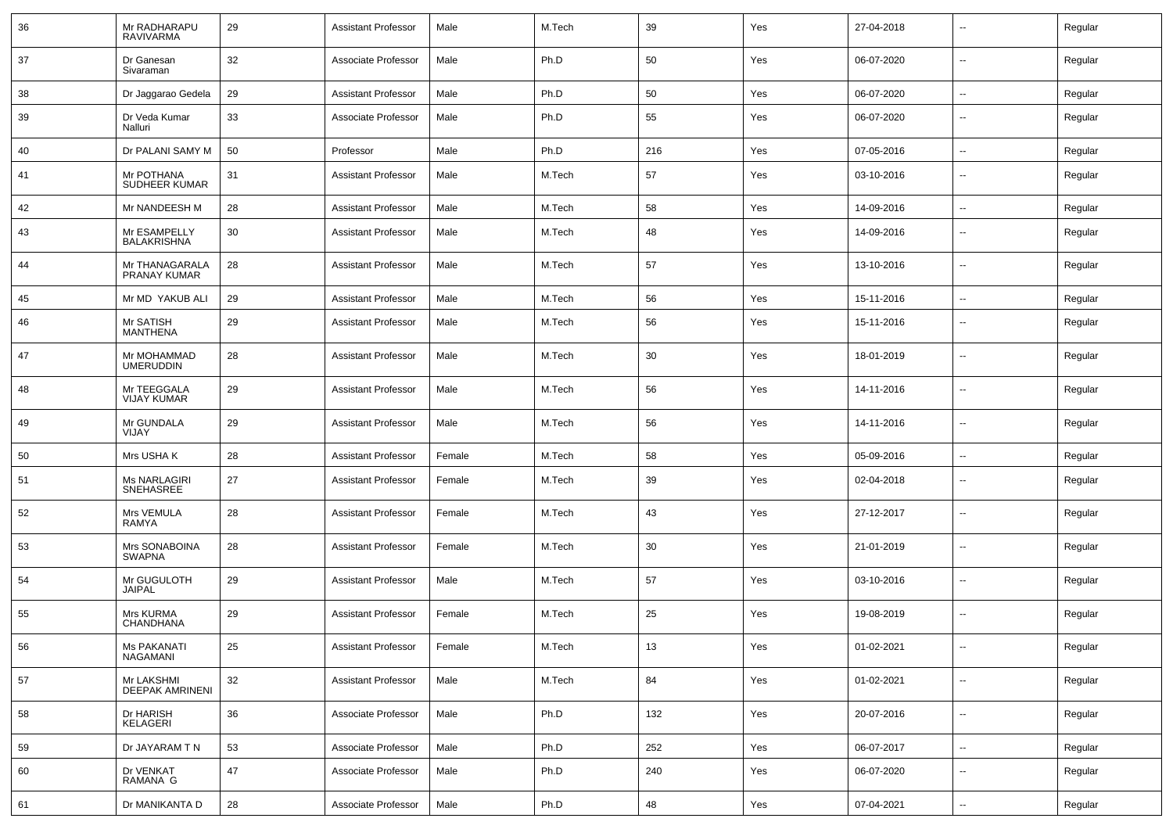| 36 | Mr RADHARAPU<br><b>RAVIVARMA</b>  | 29 | <b>Assistant Professor</b> | Male   | M.Tech | 39  | Yes | 27-04-2018 | $\overline{\phantom{a}}$   | Regular |
|----|-----------------------------------|----|----------------------------|--------|--------|-----|-----|------------|----------------------------|---------|
| 37 | Dr Ganesan<br>Sivaraman           | 32 | Associate Professor        | Male   | Ph.D   | 50  | Yes | 06-07-2020 | $\sim$                     | Regular |
| 38 | Dr Jaggarao Gedela                | 29 | <b>Assistant Professor</b> | Male   | Ph.D   | 50  | Yes | 06-07-2020 | $\sim$                     | Regular |
| 39 | Dr Veda Kumar<br>Nalluri          | 33 | Associate Professor        | Male   | Ph.D   | 55  | Yes | 06-07-2020 | $\overline{\phantom{a}}$   | Regular |
| 40 | Dr PALANI SAMY M                  | 50 | Professor                  | Male   | Ph.D   | 216 | Yes | 07-05-2016 | $\overline{\phantom{a}}$   | Regular |
| 41 | Mr POTHANA<br>SUDHEER KUMAR       | 31 | <b>Assistant Professor</b> | Male   | M.Tech | 57  | Yes | 03-10-2016 | $\overline{\phantom{a}}$   | Regular |
| 42 | Mr NANDEESH M                     | 28 | <b>Assistant Professor</b> | Male   | M.Tech | 58  | Yes | 14-09-2016 | $\mathbf{u}$               | Regular |
| 43 | Mr ESAMPELLY<br>BALAKRISHNA       | 30 | <b>Assistant Professor</b> | Male   | M.Tech | 48  | Yes | 14-09-2016 | $\overline{\phantom{a}}$   | Regular |
| 44 | Mr THANAGARALA<br>PRANAY KUMAR    | 28 | <b>Assistant Professor</b> | Male   | M.Tech | 57  | Yes | 13-10-2016 | $\overline{\phantom{a}}$   | Regular |
| 45 | Mr MD YAKUB ALI                   | 29 | <b>Assistant Professor</b> | Male   | M.Tech | 56  | Yes | 15-11-2016 | $\overline{\phantom{a}}$   | Regular |
| 46 | Mr SATISH<br><b>MANTHENA</b>      | 29 | <b>Assistant Professor</b> | Male   | M.Tech | 56  | Yes | 15-11-2016 | $\overline{\phantom{a}}$   | Regular |
| 47 | Mr MOHAMMAD<br><b>UMERUDDIN</b>   | 28 | <b>Assistant Professor</b> | Male   | M.Tech | 30  | Yes | 18-01-2019 | --                         | Regular |
| 48 | Mr TEEGGALA<br><b>VIJAY KUMAR</b> | 29 | <b>Assistant Professor</b> | Male   | M.Tech | 56  | Yes | 14-11-2016 | --                         | Regular |
| 49 | Mr GUNDALA<br>VIJAY               | 29 | <b>Assistant Professor</b> | Male   | M.Tech | 56  | Yes | 14-11-2016 | --                         | Regular |
| 50 | Mrs USHA K                        | 28 | <b>Assistant Professor</b> | Female | M.Tech | 58  | Yes | 05-09-2016 | --                         | Regular |
| 51 | <b>Ms NARLAGIRI</b><br>SNEHASREE  | 27 | <b>Assistant Professor</b> | Female | M.Tech | 39  | Yes | 02-04-2018 | $\overline{\phantom{a}}$   | Regular |
| 52 | Mrs VEMULA<br>RAMYA               | 28 | <b>Assistant Professor</b> | Female | M.Tech | 43  | Yes | 27-12-2017 | --                         | Regular |
| 53 | Mrs SONABOINA<br><b>SWAPNA</b>    | 28 | <b>Assistant Professor</b> | Female | M.Tech | 30  | Yes | 21-01-2019 | $\overline{\phantom{a}}$   | Regular |
| 54 | Mr GUGULOTH<br><b>JAIPAL</b>      | 29 | <b>Assistant Professor</b> | Male   | M.Tech | 57  | Yes | 03-10-2016 | $\overline{\phantom{a}}$   | Regular |
| 55 | Mrs KURMA<br><b>CHANDHANA</b>     | 29 | <b>Assistant Professor</b> | Female | M.Tech | 25  | Yes | 19-08-2019 | $\mathbf{u}$               | Regular |
| 56 | Ms PAKANATI<br>NAGAMANI           | 25 | <b>Assistant Professor</b> | Female | M.Tech | 13  | Yes | 01-02-2021 | $\sim$                     | Regular |
| 57 | Mr LAKSHMI<br>DEEPAK AMRINENI     | 32 | <b>Assistant Professor</b> | Male   | M.Tech | 84  | Yes | 01-02-2021 | $\mathcal{L}_{\mathbf{r}}$ | Regular |
| 58 | Dr HARISH<br>KELAGERI             | 36 | Associate Professor        | Male   | Ph.D   | 132 | Yes | 20-07-2016 | $\sim$                     | Regular |
| 59 | Dr JAYARAM T N                    | 53 | Associate Professor        | Male   | Ph.D   | 252 | Yes | 06-07-2017 | $\mathbf{u}$               | Regular |
| 60 | Dr VENKAT<br>RAMANA G             | 47 | Associate Professor        | Male   | Ph.D   | 240 | Yes | 06-07-2020 | $\sim$                     | Regular |
| 61 | Dr MANIKANTA D                    | 28 | Associate Professor        | Male   | Ph.D   | 48  | Yes | 07-04-2021 | $\sim$                     | Regular |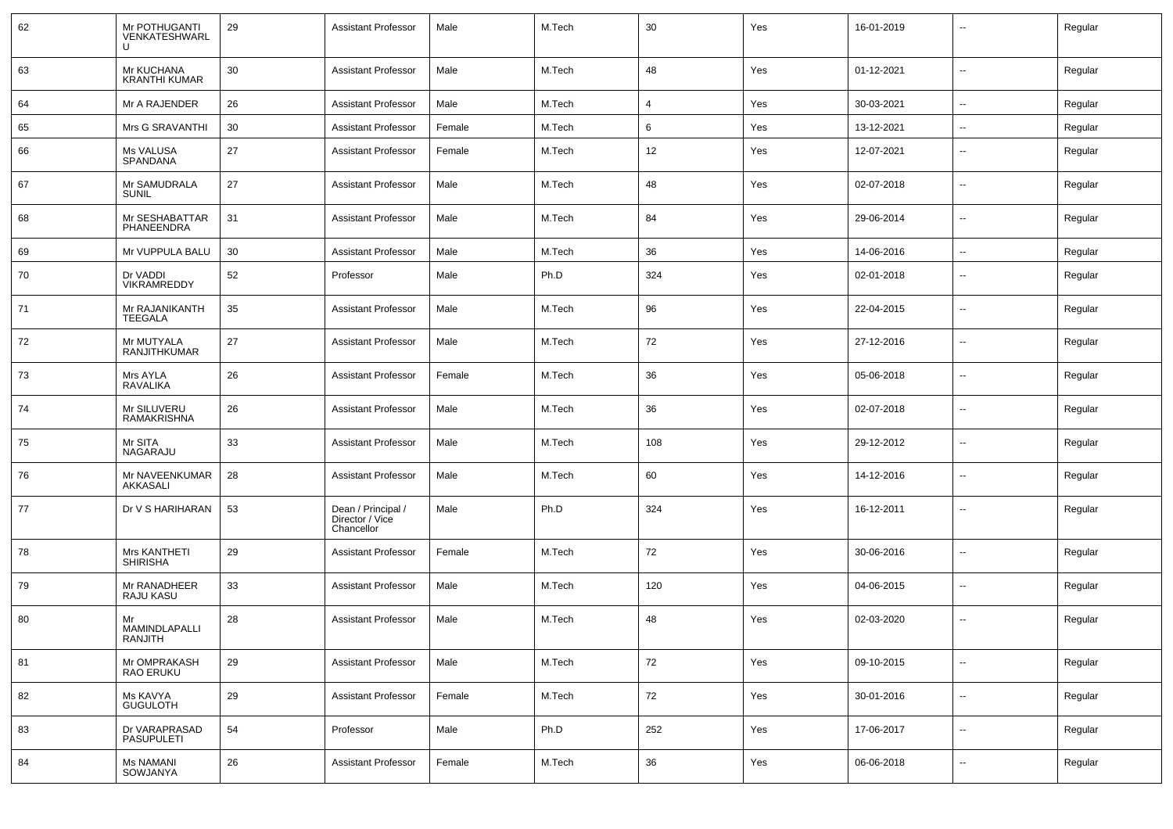| 62 | Mr POTHUGANTI<br>VENKATESHWARL        | 29 | <b>Assistant Professor</b>                          | Male   | M.Tech | 30             | Yes | 16-01-2019 | --                       | Regular |
|----|---------------------------------------|----|-----------------------------------------------------|--------|--------|----------------|-----|------------|--------------------------|---------|
| 63 | Mr KUCHANA<br><b>KRANTHI KUMAR</b>    | 30 | <b>Assistant Professor</b>                          | Male   | M.Tech | 48             | Yes | 01-12-2021 | ⊷.                       | Regular |
| 64 | Mr A RAJENDER                         | 26 | <b>Assistant Professor</b>                          | Male   | M.Tech | $\overline{4}$ | Yes | 30-03-2021 | ⊷.                       | Regular |
| 65 | Mrs G SRAVANTHI                       | 30 | <b>Assistant Professor</b>                          | Female | M.Tech | 6              | Yes | 13-12-2021 | --                       | Regular |
| 66 | Ms VALUSA<br>SPANDANA                 | 27 | <b>Assistant Professor</b>                          | Female | M.Tech | 12             | Yes | 12-07-2021 | --                       | Regular |
| 67 | Mr SAMUDRALA<br><b>SUNIL</b>          | 27 | <b>Assistant Professor</b>                          | Male   | M.Tech | 48             | Yes | 02-07-2018 | $\overline{\phantom{a}}$ | Regular |
| 68 | Mr SESHABATTAR<br>PHANEENDRA          | 31 | <b>Assistant Professor</b>                          | Male   | M.Tech | 84             | Yes | 29-06-2014 | $\overline{\phantom{a}}$ | Regular |
| 69 | Mr VUPPULA BALU                       | 30 | <b>Assistant Professor</b>                          | Male   | M.Tech | 36             | Yes | 14-06-2016 | $\overline{\phantom{a}}$ | Regular |
| 70 | Dr VADDI<br><b>VIKRAMREDDY</b>        | 52 | Professor                                           | Male   | Ph.D   | 324            | Yes | 02-01-2018 | -−                       | Regular |
| 71 | Mr RAJANIKANTH<br><b>TEEGALA</b>      | 35 | <b>Assistant Professor</b>                          | Male   | M.Tech | 96             | Yes | 22-04-2015 | --                       | Regular |
| 72 | Mr MUTYALA<br><b>RANJITHKUMAR</b>     | 27 | <b>Assistant Professor</b>                          | Male   | M.Tech | 72             | Yes | 27-12-2016 | $\overline{\phantom{a}}$ | Regular |
| 73 | Mrs AYLA<br>RAVALIKA                  | 26 | <b>Assistant Professor</b>                          | Female | M.Tech | 36             | Yes | 05-06-2018 | --                       | Regular |
| 74 | Mr SILUVERU<br><b>RAMAKRISHNA</b>     | 26 | <b>Assistant Professor</b>                          | Male   | M.Tech | 36             | Yes | 02-07-2018 | $\overline{\phantom{a}}$ | Regular |
| 75 | Mr SITA<br>NAGARAJU                   | 33 | <b>Assistant Professor</b>                          | Male   | M.Tech | 108            | Yes | 29-12-2012 | $\overline{\phantom{a}}$ | Regular |
| 76 | Mr NAVEENKUMAR<br>AKKASALI            | 28 | <b>Assistant Professor</b>                          | Male   | M.Tech | 60             | Yes | 14-12-2016 | $\overline{\phantom{a}}$ | Regular |
| 77 | Dr V S HARIHARAN                      | 53 | Dean / Principal /<br>Director / Vice<br>Chancellor | Male   | Ph.D   | 324            | Yes | 16-12-2011 | --                       | Regular |
| 78 | Mrs KANTHETI<br><b>SHIRISHA</b>       | 29 | <b>Assistant Professor</b>                          | Female | M.Tech | 72             | Yes | 30-06-2016 | --                       | Regular |
| 79 | Mr RANADHEER<br>RAJU KASU             | 33 | <b>Assistant Professor</b>                          | Male   | M.Tech | 120            | Yes | 04-06-2015 | --                       | Regular |
| 80 | Mr<br>MAMINDLAPALLI<br><b>RANJITH</b> | 28 | <b>Assistant Professor</b>                          | Male   | M.Tech | 48             | Yes | 02-03-2020 | --                       | Regular |
| 81 | Mr OMPRAKASH<br>RAO ERUKU             | 29 | <b>Assistant Professor</b>                          | Male   | M.Tech | 72             | Yes | 09-10-2015 | $\overline{\phantom{a}}$ | Regular |
| 82 | Ms KAVYA<br><b>GUGULOTH</b>           | 29 | <b>Assistant Professor</b>                          | Female | M.Tech | 72             | Yes | 30-01-2016 | $\sim$                   | Regular |
| 83 | Dr VARAPRASAD<br><b>PASUPULETI</b>    | 54 | Professor                                           | Male   | Ph.D   | 252            | Yes | 17-06-2017 | Ξ.                       | Regular |
| 84 | <b>Ms NAMANI</b><br>SOWJANYA          | 26 | <b>Assistant Professor</b>                          | Female | M.Tech | 36             | Yes | 06-06-2018 | ⊷.                       | Regular |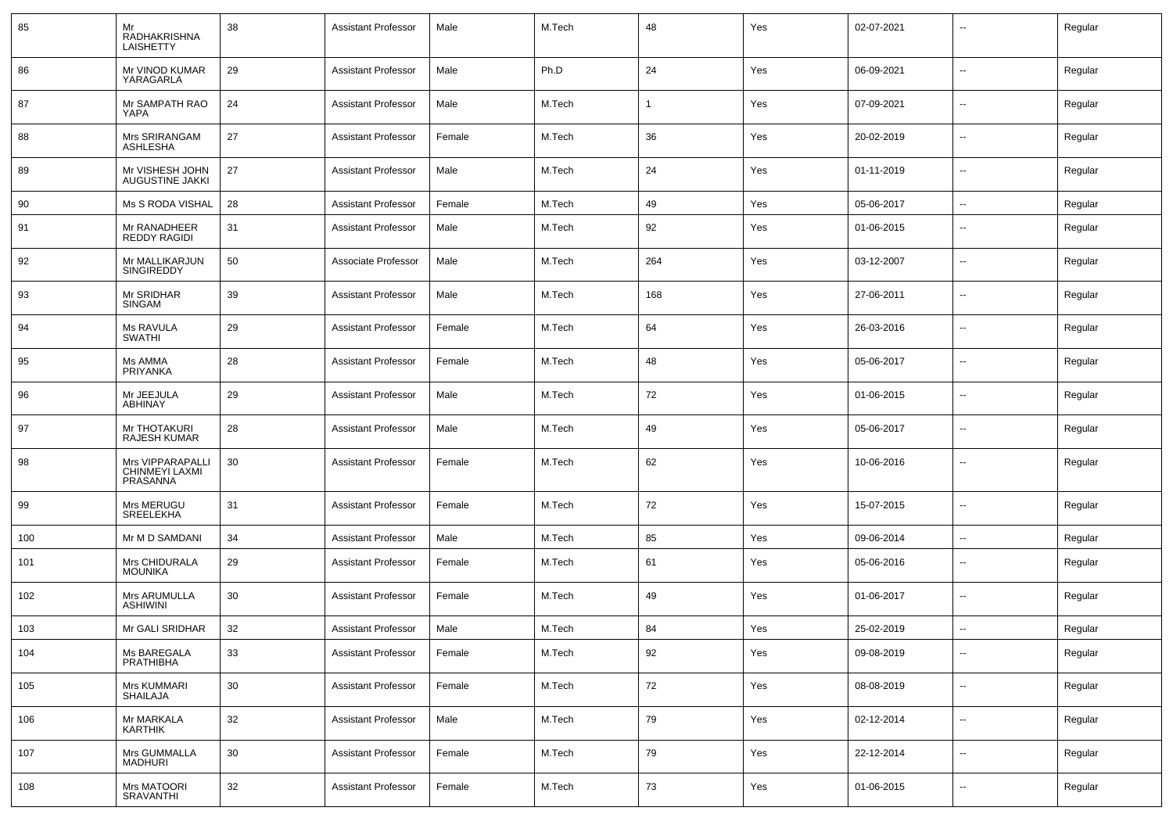| 85  | Mr<br>RADHAKRISHNA<br><b>LAISHETTY</b>         | 38 | <b>Assistant Professor</b> | Male   | M.Tech | 48  | Yes | 02-07-2021 | $\overline{\phantom{a}}$ | Regular |
|-----|------------------------------------------------|----|----------------------------|--------|--------|-----|-----|------------|--------------------------|---------|
| 86  | Mr VINOD KUMAR<br>YARAGARLA                    | 29 | <b>Assistant Professor</b> | Male   | Ph.D   | 24  | Yes | 06-09-2021 | $\overline{\phantom{a}}$ | Regular |
| 87  | Mr SAMPATH RAO<br>YAPA                         | 24 | <b>Assistant Professor</b> | Male   | M.Tech |     | Yes | 07-09-2021 | $\overline{\phantom{a}}$ | Regular |
| 88  | Mrs SRIRANGAM<br>ASHLESHA                      | 27 | <b>Assistant Professor</b> | Female | M.Tech | 36  | Yes | 20-02-2019 | $\overline{\phantom{a}}$ | Regular |
| 89  | Mr VISHESH JOHN<br>AUGUSTINE JAKKI             | 27 | <b>Assistant Professor</b> | Male   | M.Tech | 24  | Yes | 01-11-2019 | --                       | Regular |
| 90  | Ms S RODA VISHAL                               | 28 | <b>Assistant Professor</b> | Female | M.Tech | 49  | Yes | 05-06-2017 | $\sim$                   | Regular |
| 91  | Mr RANADHEER<br>REDDY RAGIDI                   | 31 | <b>Assistant Professor</b> | Male   | M.Tech | 92  | Yes | 01-06-2015 | $\overline{\phantom{a}}$ | Regular |
| 92  | Mr MALLIKARJUN<br><b>SINGIREDDY</b>            | 50 | Associate Professor        | Male   | M.Tech | 264 | Yes | 03-12-2007 | $\sim$                   | Regular |
| 93  | Mr SRIDHAR<br><b>SINGAM</b>                    | 39 | <b>Assistant Professor</b> | Male   | M.Tech | 168 | Yes | 27-06-2011 | $\overline{\phantom{a}}$ | Regular |
| 94  | Ms RAVULA<br><b>SWATHI</b>                     | 29 | <b>Assistant Professor</b> | Female | M.Tech | 64  | Yes | 26-03-2016 | $\sim$                   | Regular |
| 95  | Ms AMMA<br>PRIYANKA                            | 28 | <b>Assistant Professor</b> | Female | M.Tech | 48  | Yes | 05-06-2017 | $\overline{\phantom{a}}$ | Regular |
| 96  | Mr JEEJULA<br>ABHINAY                          | 29 | <b>Assistant Professor</b> | Male   | M.Tech | 72  | Yes | 01-06-2015 | $\sim$                   | Regular |
| 97  | Mr THOTAKURI<br><b>RAJESH KUMAR</b>            | 28 | <b>Assistant Professor</b> | Male   | M.Tech | 49  | Yes | 05-06-2017 | $\overline{\phantom{a}}$ | Regular |
| 98  | Mrs VIPPARAPALLI<br>CHINMEYI LAXMI<br>PRASANNA | 30 | <b>Assistant Professor</b> | Female | M.Tech | 62  | Yes | 10-06-2016 | $\overline{\phantom{a}}$ | Regular |
| 99  | Mrs MERUGU<br>SREELEKHA                        | 31 | <b>Assistant Professor</b> | Female | M.Tech | 72  | Yes | 15-07-2015 | $\sim$                   | Regular |
| 100 | Mr M D SAMDANI                                 | 34 | <b>Assistant Professor</b> | Male   | M.Tech | 85  | Yes | 09-06-2014 | $\sim$                   | Regular |
| 101 | Mrs CHIDURALA<br><b>MOUNIKA</b>                | 29 | <b>Assistant Professor</b> | Female | M.Tech | 61  | Yes | 05-06-2016 | $\sim$                   | Regular |
| 102 | Mrs ARUMULLA<br><b>ASHIWINI</b>                | 30 | <b>Assistant Professor</b> | Female | M.Tech | 49  | Yes | 01-06-2017 | $\overline{\phantom{a}}$ | Regular |
| 103 | Mr GALI SRIDHAR                                | 32 | <b>Assistant Professor</b> | Male   | M.Tech | 84  | Yes | 25-02-2019 | -−                       | Regular |
| 104 | Ms BAREGALA<br><b>PRATHIBHA</b>                | 33 | <b>Assistant Professor</b> | Female | M.Tech | 92  | Yes | 09-08-2019 | $\sim$                   | Regular |
| 105 | Mrs KUMMARI<br><b>SHAILAJA</b>                 | 30 | <b>Assistant Professor</b> | Female | M.Tech | 72  | Yes | 08-08-2019 | $\sim$                   | Regular |
| 106 | Mr MARKALA<br><b>KARTHIK</b>                   | 32 | <b>Assistant Professor</b> | Male   | M.Tech | 79  | Yes | 02-12-2014 | $\sim$                   | Regular |
| 107 | Mrs GUMMALLA<br><b>MADHURI</b>                 | 30 | <b>Assistant Professor</b> | Female | M.Tech | 79  | Yes | 22-12-2014 | $\sim$                   | Regular |
| 108 | Mrs MATOORI<br><b>SRAVANTHI</b>                | 32 | <b>Assistant Professor</b> | Female | M.Tech | 73  | Yes | 01-06-2015 | $\sim$                   | Regular |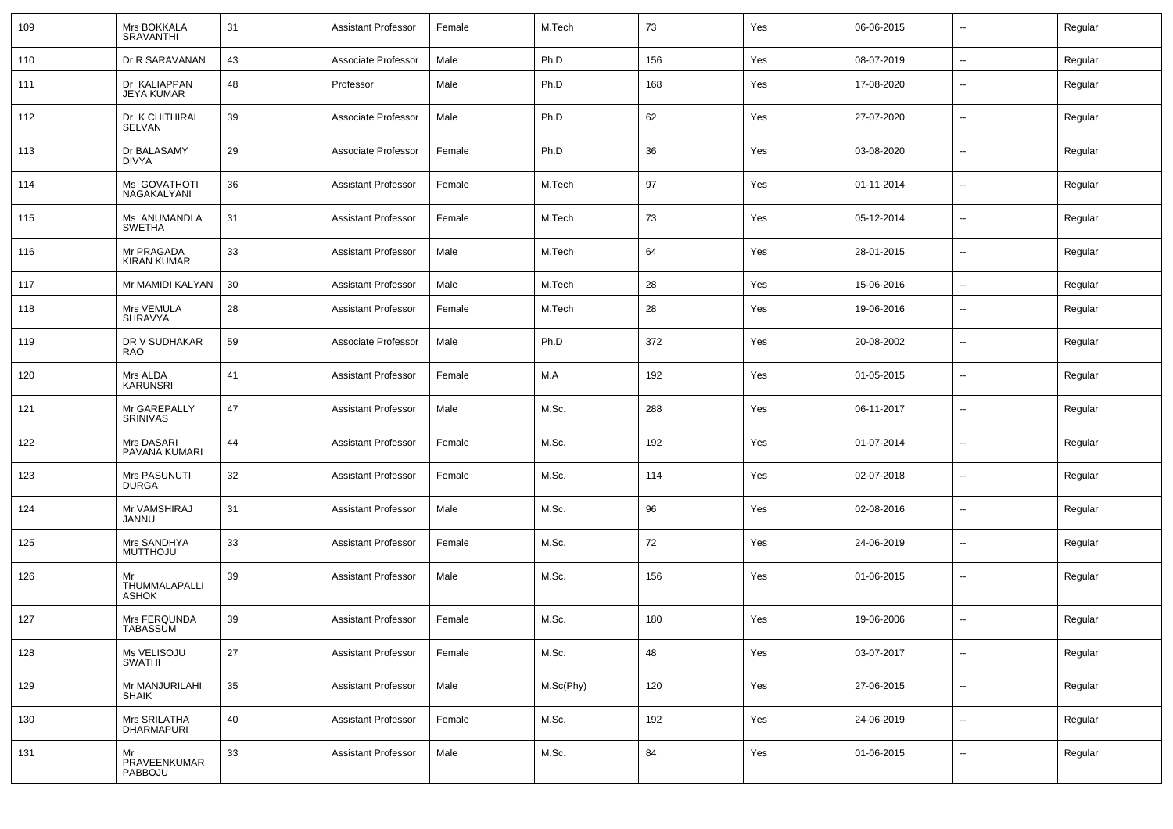| 109 | Mrs BOKKALA<br><b>SRAVANTHI</b>     | 31 | <b>Assistant Professor</b> | Female | M.Tech    | 73  | Yes | 06-06-2015 | $\overline{\phantom{a}}$ | Regular |
|-----|-------------------------------------|----|----------------------------|--------|-----------|-----|-----|------------|--------------------------|---------|
| 110 | Dr R SARAVANAN                      | 43 | Associate Professor        | Male   | Ph.D      | 156 | Yes | 08-07-2019 | $\sim$                   | Regular |
| 111 | Dr KALIAPPAN<br><b>JEYA KUMAR</b>   | 48 | Professor                  | Male   | Ph.D      | 168 | Yes | 17-08-2020 | $\overline{\phantom{a}}$ | Regular |
| 112 | Dr K CHITHIRAI<br>SELVAN            | 39 | Associate Professor        | Male   | Ph.D      | 62  | Yes | 27-07-2020 | $\sim$                   | Regular |
| 113 | Dr BALASAMY<br>DIVYA                | 29 | Associate Professor        | Female | Ph.D      | 36  | Yes | 03-08-2020 | $\sim$                   | Regular |
| 114 | Ms GOVATHOTI<br>NAGAKALYANI         | 36 | <b>Assistant Professor</b> | Female | M.Tech    | 97  | Yes | 01-11-2014 | $\overline{\phantom{a}}$ | Regular |
| 115 | Ms ANUMANDLA<br>SWETHA              | 31 | <b>Assistant Professor</b> | Female | M.Tech    | 73  | Yes | 05-12-2014 | $\sim$                   | Regular |
| 116 | Mr PRAGADA<br><b>KIRAN KUMAR</b>    | 33 | <b>Assistant Professor</b> | Male   | M.Tech    | 64  | Yes | 28-01-2015 | $\sim$                   | Regular |
| 117 | Mr MAMIDI KALYAN                    | 30 | <b>Assistant Professor</b> | Male   | M.Tech    | 28  | Yes | 15-06-2016 | $\overline{\phantom{a}}$ | Regular |
| 118 | Mrs VEMULA<br>SHRAVYA               | 28 | <b>Assistant Professor</b> | Female | M.Tech    | 28  | Yes | 19-06-2016 | $\overline{\phantom{a}}$ | Regular |
| 119 | DR V SUDHAKAR<br>RAO                | 59 | Associate Professor        | Male   | Ph.D      | 372 | Yes | 20-08-2002 | $\overline{\phantom{a}}$ | Regular |
| 120 | Mrs ALDA<br>KARUNSRI                | 41 | <b>Assistant Professor</b> | Female | M.A       | 192 | Yes | 01-05-2015 | $\overline{\phantom{a}}$ | Regular |
| 121 | Mr GAREPALLY<br>SRINIVAS            | 47 | <b>Assistant Professor</b> | Male   | M.Sc.     | 288 | Yes | 06-11-2017 | $\overline{\phantom{a}}$ | Regular |
| 122 | Mrs DASARI<br>PAVANA KUMARI         | 44 | <b>Assistant Professor</b> | Female | M.Sc.     | 192 | Yes | 01-07-2014 | $\overline{\phantom{a}}$ | Regular |
| 123 | Mrs PASUNUTI<br>DURGA               | 32 | <b>Assistant Professor</b> | Female | M.Sc.     | 114 | Yes | 02-07-2018 | --                       | Regular |
| 124 | Mr VAMSHIRAJ<br>JANNU               | 31 | <b>Assistant Professor</b> | Male   | M.Sc.     | 96  | Yes | 02-08-2016 | $\overline{\phantom{a}}$ | Regular |
| 125 | Mrs SANDHYA<br><b>MUTTHOJU</b>      | 33 | <b>Assistant Professor</b> | Female | M.Sc.     | 72  | Yes | 24-06-2019 | $\overline{\phantom{a}}$ | Regular |
| 126 | Mr<br>THUMMALAPALLI<br><b>ASHOK</b> | 39 | <b>Assistant Professor</b> | Male   | M.Sc.     | 156 | Yes | 01-06-2015 | --                       | Regular |
| 127 | Mrs FERQUNDA<br><b>TABASSUM</b>     | 39 | <b>Assistant Professor</b> | Female | M.Sc.     | 180 | Yes | 19-06-2006 | $\overline{\phantom{a}}$ | Regular |
| 128 | Ms VELISOJU<br><b>SWATHI</b>        | 27 | <b>Assistant Professor</b> | Female | M.Sc.     | 48  | Yes | 03-07-2017 | $\overline{\phantom{a}}$ | Regular |
| 129 | Mr MANJURILAHI<br>SHAIK             | 35 | <b>Assistant Professor</b> | Male   | M.Sc(Phy) | 120 | Yes | 27-06-2015 | $\overline{\phantom{a}}$ | Regular |
| 130 | Mrs SRILATHA<br><b>DHARMAPURI</b>   | 40 | <b>Assistant Professor</b> | Female | M.Sc.     | 192 | Yes | 24-06-2019 | $\sim$                   | Regular |
| 131 | Mr<br>PRAVEENKUMAR<br>PABBOJU       | 33 | <b>Assistant Professor</b> | Male   | M.Sc.     | 84  | Yes | 01-06-2015 | ۰.                       | Regular |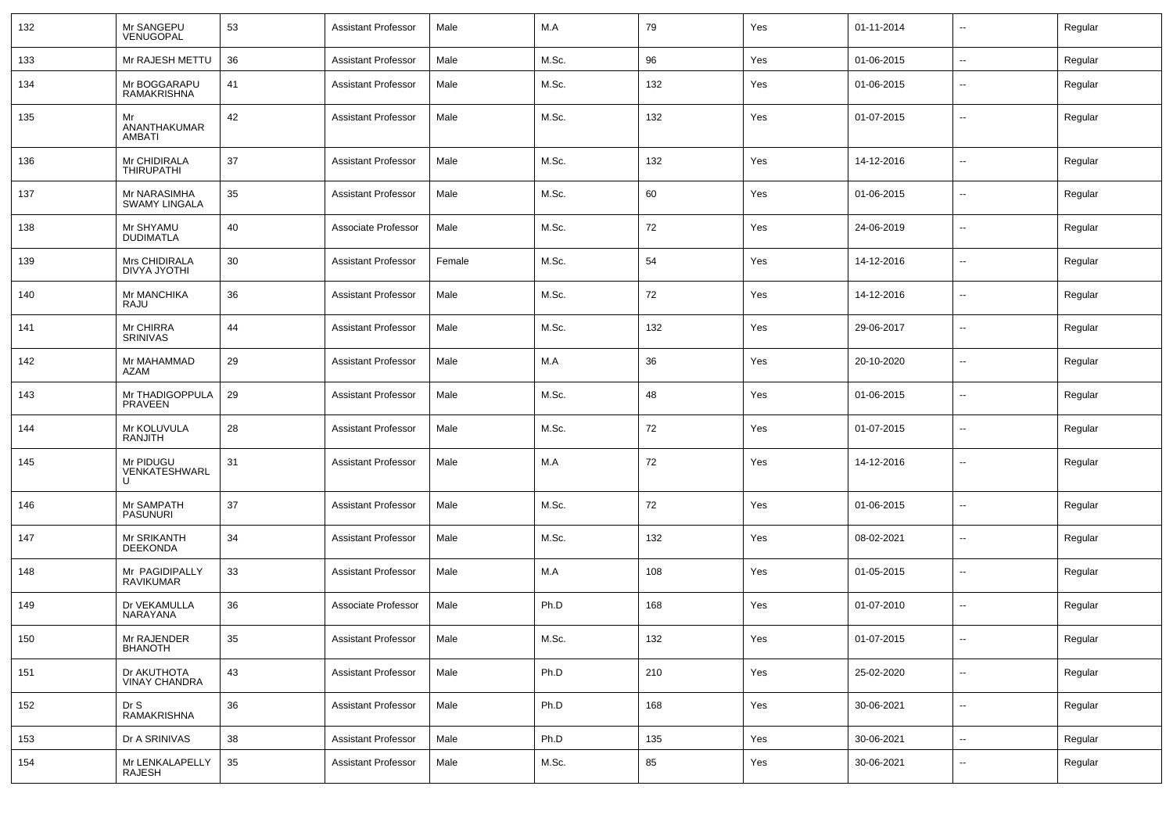| 132 | Mr SANGEPU<br>VENUGOPAL              | 53 | <b>Assistant Professor</b> | Male   | M.A   | 79  | Yes | 01-11-2014 | $\overline{\phantom{a}}$ | Regular |
|-----|--------------------------------------|----|----------------------------|--------|-------|-----|-----|------------|--------------------------|---------|
| 133 | Mr RAJESH METTU                      | 36 | <b>Assistant Professor</b> | Male   | M.Sc. | 96  | Yes | 01-06-2015 | $\sim$                   | Regular |
| 134 | Mr BOGGARAPU<br><b>RAMAKRISHNA</b>   | 41 | <b>Assistant Professor</b> | Male   | M.Sc. | 132 | Yes | 01-06-2015 | $\overline{a}$           | Regular |
| 135 | Mr<br>ANANTHAKUMAR<br>AMBATI         | 42 | <b>Assistant Professor</b> | Male   | M.Sc. | 132 | Yes | 01-07-2015 | --                       | Regular |
| 136 | Mr CHIDIRALA<br><b>THIRUPATHI</b>    | 37 | Assistant Professor        | Male   | M.Sc. | 132 | Yes | 14-12-2016 | $\mathbf{u}$             | Regular |
| 137 | Mr NARASIMHA<br><b>SWAMY LINGALA</b> | 35 | <b>Assistant Professor</b> | Male   | M.Sc. | 60  | Yes | 01-06-2015 | $\overline{\phantom{a}}$ | Regular |
| 138 | Mr SHYAMU<br>DUDIMATLA               | 40 | Associate Professor        | Male   | M.Sc. | 72  | Yes | 24-06-2019 | $\overline{\phantom{a}}$ | Regular |
| 139 | Mrs CHIDIRALA<br>DIVYA JYOTHI        | 30 | Assistant Professor        | Female | M.Sc. | 54  | Yes | 14-12-2016 | $\mathbf{u}$             | Regular |
| 140 | Mr MANCHIKA<br>RAJU                  | 36 | Assistant Professor        | Male   | M.Sc. | 72  | Yes | 14-12-2016 | $\sim$                   | Regular |
| 141 | Mr CHIRRA<br><b>SRINIVAS</b>         | 44 | <b>Assistant Professor</b> | Male   | M.Sc. | 132 | Yes | 29-06-2017 | $\mathbf{u}$             | Regular |
| 142 | Mr MAHAMMAD<br>AZAM                  | 29 | <b>Assistant Professor</b> | Male   | M.A   | 36  | Yes | 20-10-2020 | $\overline{\phantom{a}}$ | Regular |
| 143 | Mr THADIGOPPULA<br>PRAVEEN           | 29 | <b>Assistant Professor</b> | Male   | M.Sc. | 48  | Yes | 01-06-2015 | $\mathbf{u}$             | Regular |
| 144 | Mr KOLUVULA<br>RANJITH               | 28 | <b>Assistant Professor</b> | Male   | M.Sc. | 72  | Yes | 01-07-2015 | $\mathbf{u}$             | Regular |
| 145 | Mr PIDUGU<br>VENKATESHWARL           | 31 | <b>Assistant Professor</b> | Male   | M.A   | 72  | Yes | 14-12-2016 | --                       | Regular |
| 146 | Mr SAMPATH<br><b>PASUNURI</b>        | 37 | Assistant Professor        | Male   | M.Sc. | 72  | Yes | 01-06-2015 | $\mathbf{u}$             | Regular |
| 147 | Mr SRIKANTH<br><b>DEEKONDA</b>       | 34 | <b>Assistant Professor</b> | Male   | M.Sc. | 132 | Yes | 08-02-2021 | $\sim$                   | Regular |
| 148 | Mr PAGIDIPALLY<br><b>RAVIKUMAR</b>   | 33 | <b>Assistant Professor</b> | Male   | M.A   | 108 | Yes | 01-05-2015 | $\sim$                   | Regular |
| 149 | Dr VEKAMULLA<br>NARAYANA             | 36 | Associate Professor        | Male   | Ph.D  | 168 | Yes | 01-07-2010 | $\sim$                   | Regular |
| 150 | Mr RAJENDER<br><b>BHANOTH</b>        | 35 | Assistant Professor        | Male   | M.Sc. | 132 | Yes | 01-07-2015 | $\overline{\phantom{a}}$ | Regular |
| 151 | Dr AKUTHOTA<br>VINAY CHANDRA         | 43 | <b>Assistant Professor</b> | Male   | Ph.D  | 210 | Yes | 25-02-2020 | $\sim$                   | Regular |
| 152 | Dr S<br>RAMAKRISHNA                  | 36 | <b>Assistant Professor</b> | Male   | Ph.D  | 168 | Yes | 30-06-2021 | $\sim$                   | Regular |
| 153 | Dr A SRINIVAS                        | 38 | <b>Assistant Professor</b> | Male   | Ph.D  | 135 | Yes | 30-06-2021 | $\sim$                   | Regular |
| 154 | Mr LENKALAPELLY<br>RAJESH            | 35 | Assistant Professor        | Male   | M.Sc. | 85  | Yes | 30-06-2021 | $\sim$                   | Regular |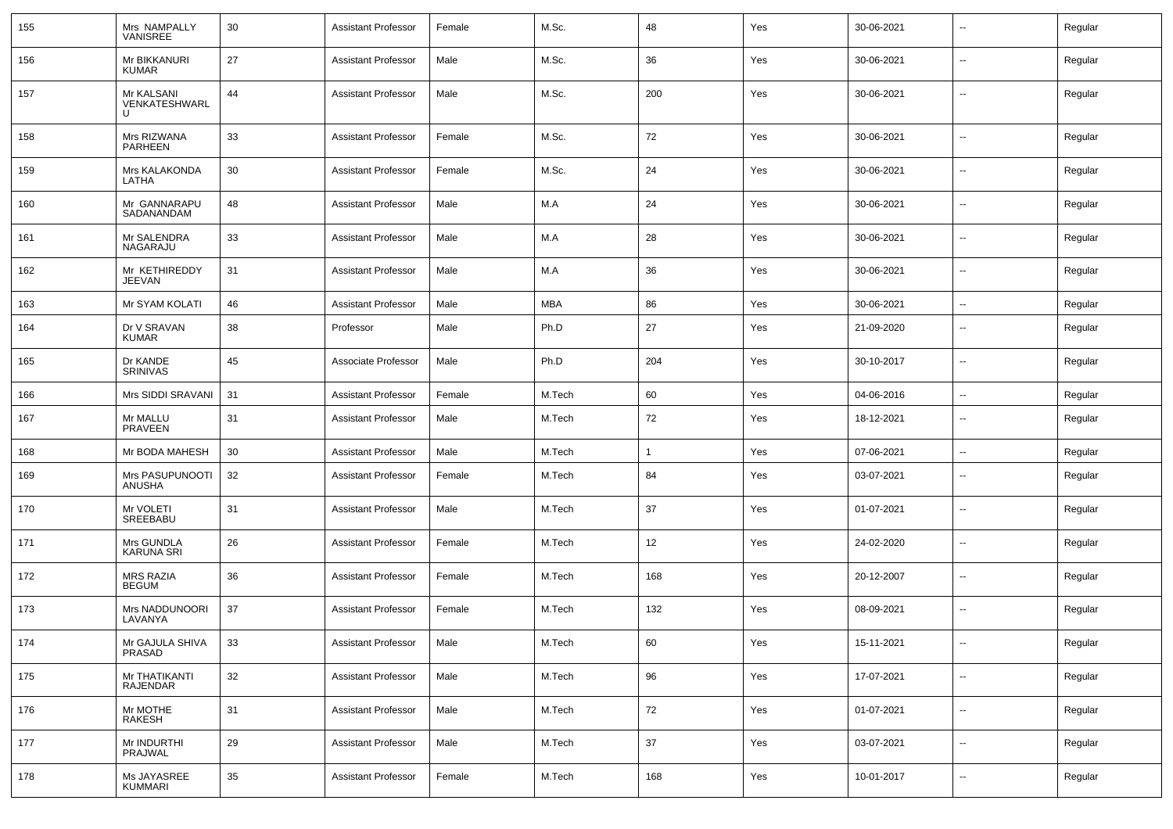| 155 | Mrs NAMPALLY<br>VANISREE         | 30     | Assistant Professor        | Female | M.Sc.      | 48           | Yes | 30-06-2021 |                          | Regular |
|-----|----------------------------------|--------|----------------------------|--------|------------|--------------|-----|------------|--------------------------|---------|
| 156 | Mr BIKKANURI<br><b>KUMAR</b>     | 27     | <b>Assistant Professor</b> | Male   | M.Sc.      | 36           | Yes | 30-06-2021 | $\sim$                   | Regular |
| 157 | Mr KALSANI<br>VENKATESHWARL      | 44     | <b>Assistant Professor</b> | Male   | M.Sc.      | 200          | Yes | 30-06-2021 | $\sim$                   | Regular |
| 158 | Mrs RIZWANA<br>PARHEEN           | 33     | <b>Assistant Professor</b> | Female | M.Sc.      | 72           | Yes | 30-06-2021 | $\mathbf{u}$             | Regular |
| 159 | Mrs KALAKONDA<br>LATHA           | 30     | <b>Assistant Professor</b> | Female | M.Sc.      | 24           | Yes | 30-06-2021 | $\overline{\phantom{a}}$ | Regular |
| 160 | Mr GANNARAPU<br>SADANANDAM       | 48     | <b>Assistant Professor</b> | Male   | M.A        | 24           | Yes | 30-06-2021 | $\mathbf{u}$             | Regular |
| 161 | Mr SALENDRA<br>NAGARAJU          | 33     | <b>Assistant Professor</b> | Male   | M.A        | 28           | Yes | 30-06-2021 | $\overline{\phantom{a}}$ | Regular |
| 162 | Mr KETHIREDDY<br>JEEVAN          | 31     | <b>Assistant Professor</b> | Male   | M.A        | 36           | Yes | 30-06-2021 | $\mathbf{u}$             | Regular |
| 163 | Mr SYAM KOLATI                   | 46     | <b>Assistant Professor</b> | Male   | <b>MBA</b> | 86           | Yes | 30-06-2021 | $\sim$                   | Regular |
| 164 | Dr V SRAVAN<br><b>KUMAR</b>      | 38     | Professor                  | Male   | Ph.D       | 27           | Yes | 21-09-2020 | $\sim$                   | Regular |
| 165 | Dr KANDE<br><b>SRINIVAS</b>      | 45     | Associate Professor        | Male   | Ph.D       | 204          | Yes | 30-10-2017 | $\sim$                   | Regular |
| 166 | Mrs SIDDI SRAVANI                | 31     | <b>Assistant Professor</b> | Female | M.Tech     | 60           | Yes | 04-06-2016 | $\sim$                   | Regular |
| 167 | Mr MALLU<br><b>PRAVEEN</b>       | 31     | <b>Assistant Professor</b> | Male   | M.Tech     | 72           | Yes | 18-12-2021 | $\overline{\phantom{a}}$ | Regular |
| 168 | Mr BODA MAHESH                   | 30     | <b>Assistant Professor</b> | Male   | M.Tech     | $\mathbf{1}$ | Yes | 07-06-2021 | $\overline{\phantom{a}}$ | Regular |
| 169 | Mrs PASUPUNOOTI<br>ANUSHA        | 32     | <b>Assistant Professor</b> | Female | M.Tech     | 84           | Yes | 03-07-2021 | $\overline{\phantom{a}}$ | Regular |
| 170 | Mr VOLETI<br>SREEBABU            | 31     | <b>Assistant Professor</b> | Male   | M.Tech     | 37           | Yes | 01-07-2021 | $\mathbf{u}$             | Regular |
| 171 | Mrs GUNDLA<br><b>KARUNA SRI</b>  | 26     | <b>Assistant Professor</b> | Female | M.Tech     | 12           | Yes | 24-02-2020 | $\mathbf{u}$             | Regular |
| 172 | <b>MRS RAZIA</b><br><b>BEGUM</b> | 36     | <b>Assistant Professor</b> | Female | M.Tech     | 168          | Yes | 20-12-2007 | $\mathbf{u}$             | Regular |
| 173 | Mrs NADDUNOORI<br>LAVANYA        | 37     | <b>Assistant Professor</b> | Female | M.Tech     | 132          | Yes | 08-09-2021 | $\mathbf{u}$             | Regular |
| 174 | Mr GAJULA SHIVA<br>PRASAD        | $33\,$ | Assistant Professor        | Male   | M.Tech     | 60           | Yes | 15-11-2021 | $\overline{\phantom{a}}$ | Regular |
| 175 | Mr THATIKANTI<br>RAJENDAR        | 32     | <b>Assistant Professor</b> | Male   | M.Tech     | 96           | Yes | 17-07-2021 | $\sim$                   | Regular |
| 176 | Mr MOTHE<br>RAKESH               | 31     | <b>Assistant Professor</b> | Male   | M.Tech     | 72           | Yes | 01-07-2021 | $\overline{\phantom{a}}$ | Regular |
| 177 | Mr INDURTHI<br><b>PRAJWAL</b>    | 29     | <b>Assistant Professor</b> | Male   | M.Tech     | 37           | Yes | 03-07-2021 | $\mathbf{u}$             | Regular |
| 178 | Ms JAYASREE<br>KUMMARI           | 35     | <b>Assistant Professor</b> | Female | M.Tech     | 168          | Yes | 10-01-2017 | $\overline{\phantom{a}}$ | Regular |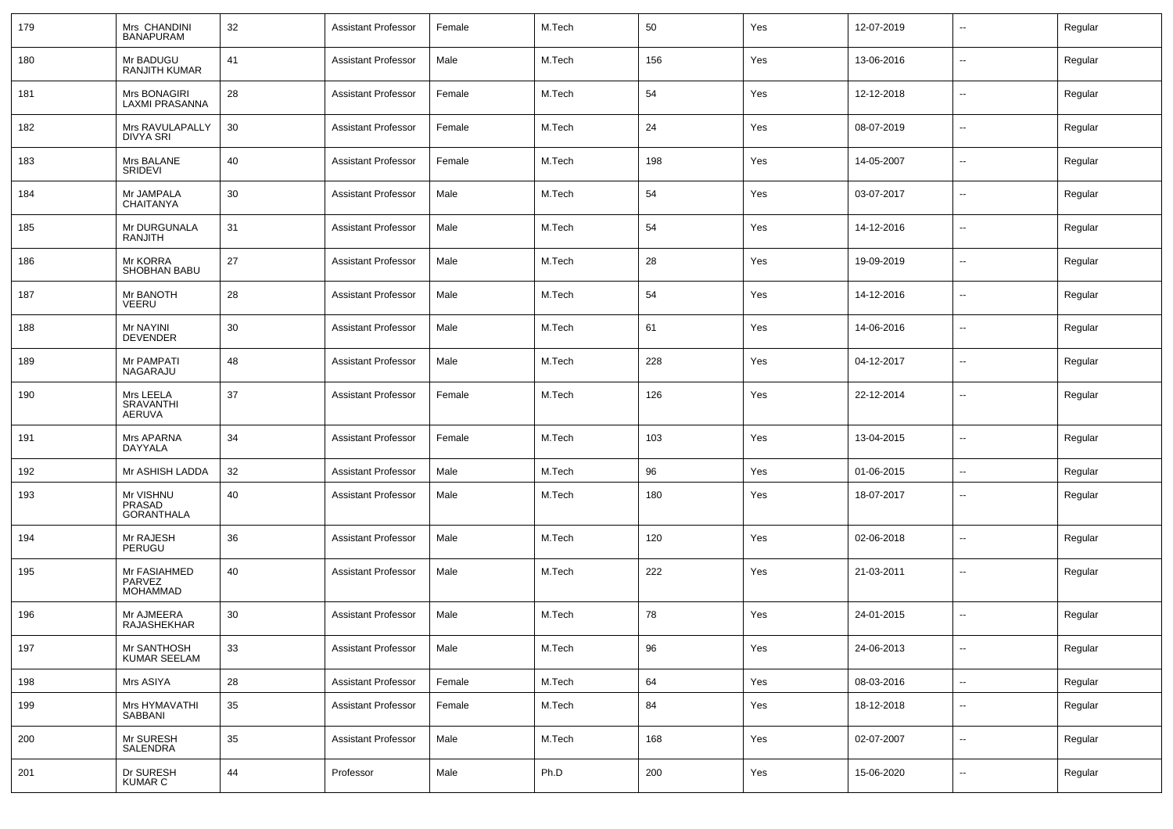| 179 | Mrs CHANDINI<br><b>BANAPURAM</b>          | 32 | <b>Assistant Professor</b> | Female | M.Tech | 50  | Yes | 12-07-2019 | --                       | Regular |
|-----|-------------------------------------------|----|----------------------------|--------|--------|-----|-----|------------|--------------------------|---------|
| 180 | Mr BADUGU<br><b>RANJITH KUMAR</b>         | 41 | <b>Assistant Professor</b> | Male   | M.Tech | 156 | Yes | 13-06-2016 | $\sim$                   | Regular |
| 181 | Mrs BONAGIRI<br><b>LAXMI PRASANNA</b>     | 28 | <b>Assistant Professor</b> | Female | M.Tech | 54  | Yes | 12-12-2018 | $\overline{\phantom{a}}$ | Regular |
| 182 | Mrs RAVULAPALLY<br><b>DIVYA SRI</b>       | 30 | <b>Assistant Professor</b> | Female | M.Tech | 24  | Yes | 08-07-2019 | $\sim$                   | Regular |
| 183 | Mrs BALANE<br>SRIDEVI                     | 40 | <b>Assistant Professor</b> | Female | M.Tech | 198 | Yes | 14-05-2007 | $\sim$                   | Regular |
| 184 | Mr JAMPALA<br><b>CHAITANYA</b>            | 30 | <b>Assistant Professor</b> | Male   | M.Tech | 54  | Yes | 03-07-2017 | $\sim$                   | Regular |
| 185 | Mr DURGUNALA<br>RANJITH                   | 31 | <b>Assistant Professor</b> | Male   | M.Tech | 54  | Yes | 14-12-2016 | $\sim$                   | Regular |
| 186 | Mr KORRA<br>SHOBHAN BABU                  | 27 | <b>Assistant Professor</b> | Male   | M.Tech | 28  | Yes | 19-09-2019 | $\sim$                   | Regular |
| 187 | Mr BANOTH<br>VEERU                        | 28 | <b>Assistant Professor</b> | Male   | M.Tech | 54  | Yes | 14-12-2016 | $\sim$                   | Regular |
| 188 | Mr NAYINI<br><b>DEVENDER</b>              | 30 | <b>Assistant Professor</b> | Male   | M.Tech | 61  | Yes | 14-06-2016 | $\sim$                   | Regular |
| 189 | Mr PAMPATI<br>NAGARAJU                    | 48 | <b>Assistant Professor</b> | Male   | M.Tech | 228 | Yes | 04-12-2017 | $\sim$                   | Regular |
| 190 | Mrs LEELA<br><b>SRAVANTHI</b><br>AERUVA   | 37 | <b>Assistant Professor</b> | Female | M.Tech | 126 | Yes | 22-12-2014 | $\sim$                   | Regular |
| 191 | Mrs APARNA<br>DAYYALA                     | 34 | <b>Assistant Professor</b> | Female | M.Tech | 103 | Yes | 13-04-2015 | $\sim$                   | Regular |
| 192 | Mr ASHISH LADDA                           | 32 | <b>Assistant Professor</b> | Male   | M.Tech | 96  | Yes | 01-06-2015 | $\sim$                   | Regular |
| 193 | Mr VISHNU<br>PRASAD<br><b>GORANTHALA</b>  | 40 | <b>Assistant Professor</b> | Male   | M.Tech | 180 | Yes | 18-07-2017 | $\sim$                   | Regular |
| 194 | Mr RAJESH<br>PERUGU                       | 36 | <b>Assistant Professor</b> | Male   | M.Tech | 120 | Yes | 02-06-2018 | $\sim$                   | Regular |
| 195 | Mr FASIAHMED<br>PARVEZ<br><b>MOHAMMAD</b> | 40 | <b>Assistant Professor</b> | Male   | M.Tech | 222 | Yes | 21-03-2011 | $\sim$                   | Regular |
| 196 | Mr AJMEERA<br>RAJASHEKHAR                 | 30 | <b>Assistant Professor</b> | Male   | M.Tech | 78  | Yes | 24-01-2015 | Ξ.                       | Regular |
| 197 | Mr SANTHOSH<br>KUMAR SEELAM               | 33 | <b>Assistant Professor</b> | Male   | M.Tech | 96  | Yes | 24-06-2013 | $\sim$                   | Regular |
| 198 | Mrs ASIYA                                 | 28 | <b>Assistant Professor</b> | Female | M.Tech | 64  | Yes | 08-03-2016 | $\overline{\phantom{a}}$ | Regular |
| 199 | Mrs HYMAVATHI<br>SABBANI                  | 35 | <b>Assistant Professor</b> | Female | M.Tech | 84  | Yes | 18-12-2018 | $\overline{\phantom{a}}$ | Regular |
| 200 | Mr SURESH<br>SALENDRA                     | 35 | <b>Assistant Professor</b> | Male   | M.Tech | 168 | Yes | 02-07-2007 | $\overline{\phantom{a}}$ | Regular |
| 201 | Dr SURESH<br>KUMAR C                      | 44 | Professor                  | Male   | Ph.D   | 200 | Yes | 15-06-2020 | $\overline{\phantom{a}}$ | Regular |